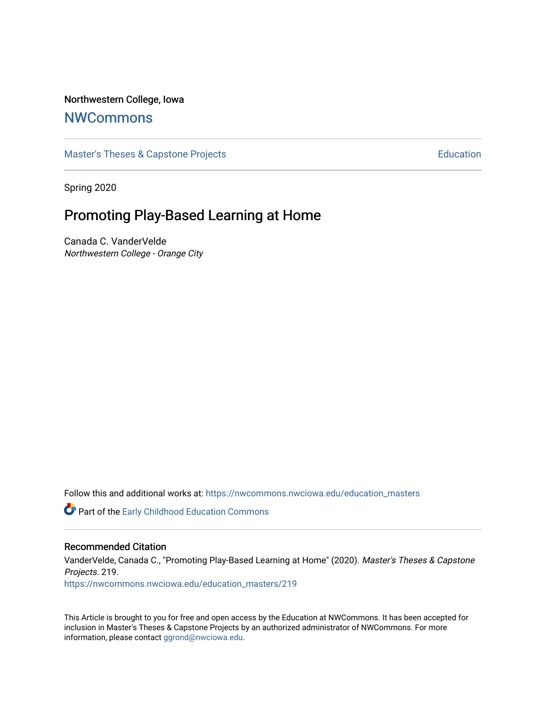### Northwestern College, Iowa

# **[NWCommons](https://nwcommons.nwciowa.edu/)**

[Master's Theses & Capstone Projects](https://nwcommons.nwciowa.edu/education_masters) **Education** Education

Spring 2020

# Promoting Play-Based Learning at Home

Canada C. VanderVelde Northwestern College - Orange City

Follow this and additional works at: [https://nwcommons.nwciowa.edu/education\\_masters](https://nwcommons.nwciowa.edu/education_masters?utm_source=nwcommons.nwciowa.edu%2Feducation_masters%2F219&utm_medium=PDF&utm_campaign=PDFCoverPages)

**C** Part of the Early Childhood Education Commons

#### Recommended Citation

VanderVelde, Canada C., "Promoting Play-Based Learning at Home" (2020). Master's Theses & Capstone Projects. 219.

[https://nwcommons.nwciowa.edu/education\\_masters/219](https://nwcommons.nwciowa.edu/education_masters/219?utm_source=nwcommons.nwciowa.edu%2Feducation_masters%2F219&utm_medium=PDF&utm_campaign=PDFCoverPages)

This Article is brought to you for free and open access by the Education at NWCommons. It has been accepted for inclusion in Master's Theses & Capstone Projects by an authorized administrator of NWCommons. For more information, please contact [ggrond@nwciowa.edu](mailto:ggrond@nwciowa.edu).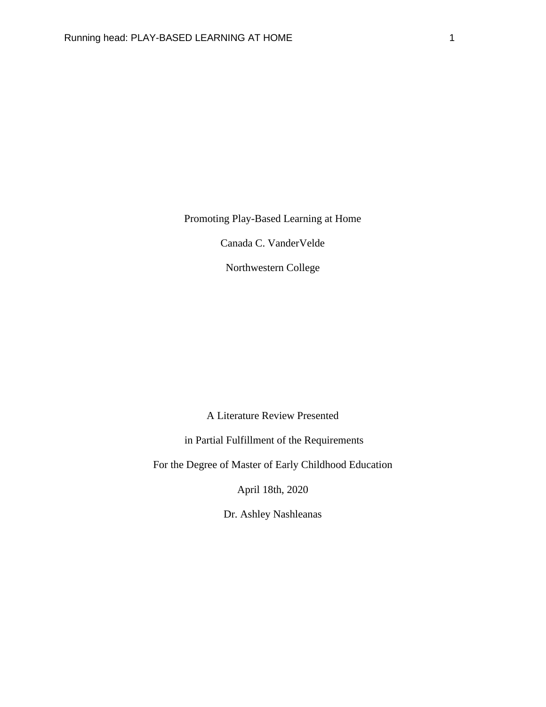Promoting Play-Based Learning at Home

Canada C. VanderVelde

Northwestern College

A Literature Review Presented

in Partial Fulfillment of the Requirements

For the Degree of Master of Early Childhood Education

April 18th, 2020

Dr. Ashley Nashleanas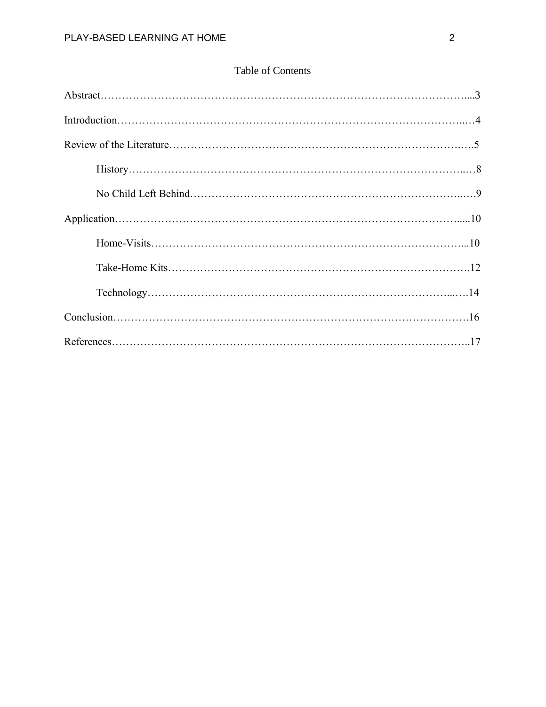## Table of Contents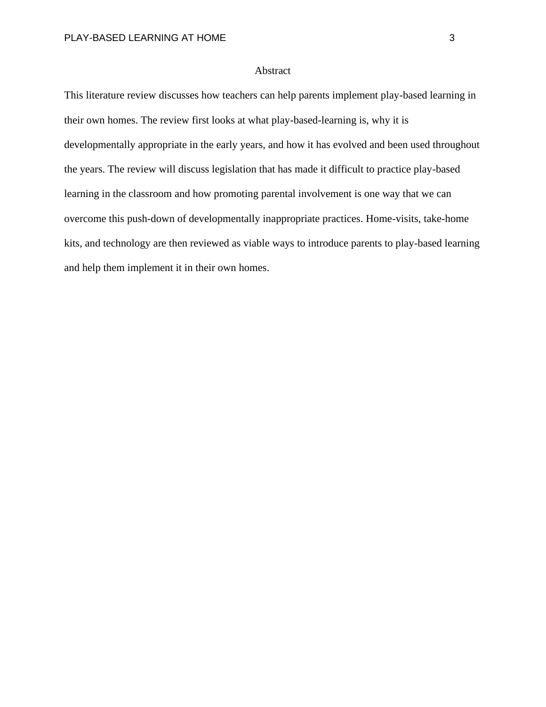#### Abstract

This literature review discusses how teachers can help parents implement play-based learning in their own homes. The review first looks at what play-based-learning is, why it is developmentally appropriate in the early years, and how it has evolved and been used throughout the years. The review will discuss legislation that has made it difficult to practice play-based learning in the classroom and how promoting parental involvement is one way that we can overcome this push-down of developmentally inappropriate practices. Home-visits, take-home kits, and technology are then reviewed as viable ways to introduce parents to play-based learning and help them implement it in their own homes.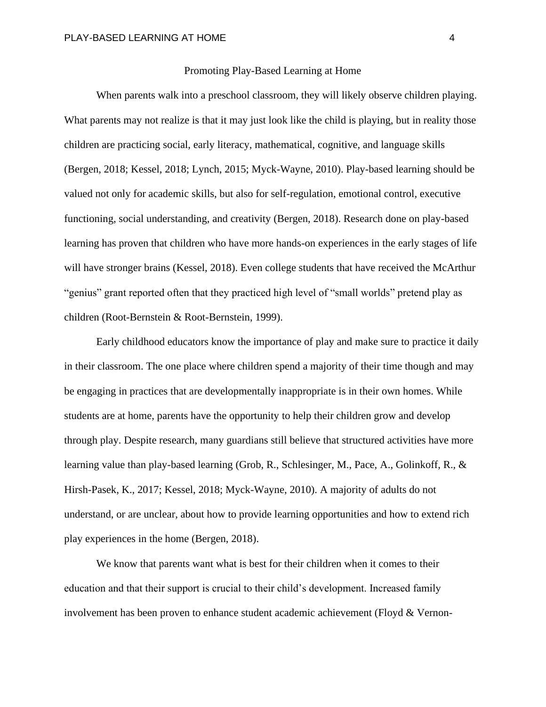#### Promoting Play-Based Learning at Home

When parents walk into a preschool classroom, they will likely observe children playing. What parents may not realize is that it may just look like the child is playing, but in reality those children are practicing social, early literacy, mathematical, cognitive, and language skills (Bergen, 2018; Kessel, 2018; Lynch, 2015; Myck-Wayne, 2010). Play-based learning should be valued not only for academic skills, but also for self-regulation, emotional control, executive functioning, social understanding, and creativity (Bergen, 2018). Research done on play-based learning has proven that children who have more hands-on experiences in the early stages of life will have stronger brains (Kessel, 2018). Even college students that have received the McArthur "genius" grant reported often that they practiced high level of "small worlds" pretend play as children (Root-Bernstein & Root-Bernstein, 1999).

Early childhood educators know the importance of play and make sure to practice it daily in their classroom. The one place where children spend a majority of their time though and may be engaging in practices that are developmentally inappropriate is in their own homes. While students are at home, parents have the opportunity to help their children grow and develop through play. Despite research, many guardians still believe that structured activities have more learning value than play-based learning (Grob, R., Schlesinger, M., Pace, A., Golinkoff, R., & Hirsh-Pasek, K., 2017; Kessel, 2018; Myck-Wayne, 2010). A majority of adults do not understand, or are unclear, about how to provide learning opportunities and how to extend rich play experiences in the home (Bergen, 2018).

We know that parents want what is best for their children when it comes to their education and that their support is crucial to their child's development. Increased family involvement has been proven to enhance student academic achievement (Floyd & Vernon-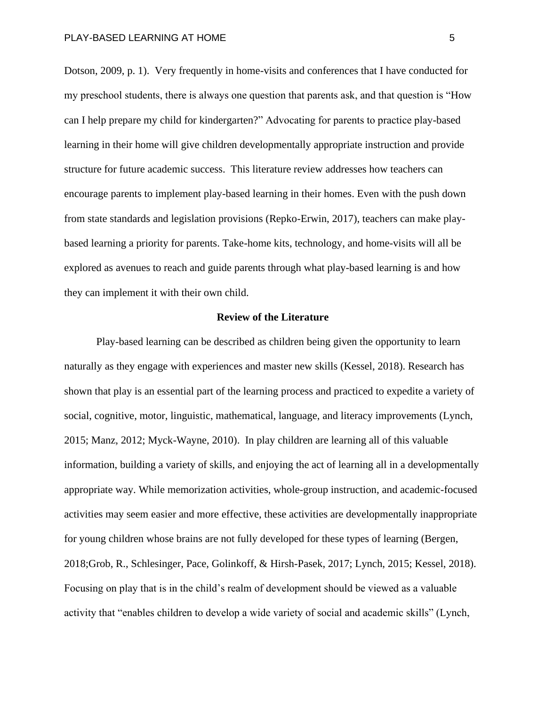Dotson, 2009, p. 1). Very frequently in home-visits and conferences that I have conducted for my preschool students, there is always one question that parents ask, and that question is "How can I help prepare my child for kindergarten?" Advocating for parents to practice play-based learning in their home will give children developmentally appropriate instruction and provide structure for future academic success. This literature review addresses how teachers can encourage parents to implement play-based learning in their homes. Even with the push down from state standards and legislation provisions (Repko-Erwin, 2017), teachers can make playbased learning a priority for parents. Take-home kits, technology, and home-visits will all be explored as avenues to reach and guide parents through what play-based learning is and how they can implement it with their own child.

#### **Review of the Literature**

Play-based learning can be described as children being given the opportunity to learn naturally as they engage with experiences and master new skills (Kessel, 2018). Research has shown that play is an essential part of the learning process and practiced to expedite a variety of social, cognitive, motor, linguistic, mathematical, language, and literacy improvements (Lynch, 2015; Manz, 2012; Myck-Wayne, 2010). In play children are learning all of this valuable information, building a variety of skills, and enjoying the act of learning all in a developmentally appropriate way. While memorization activities, whole-group instruction, and academic-focused activities may seem easier and more effective, these activities are developmentally inappropriate for young children whose brains are not fully developed for these types of learning (Bergen, 2018;Grob, R., Schlesinger, Pace, Golinkoff, & Hirsh-Pasek, 2017; Lynch, 2015; Kessel, 2018). Focusing on play that is in the child's realm of development should be viewed as a valuable activity that "enables children to develop a wide variety of social and academic skills" (Lynch,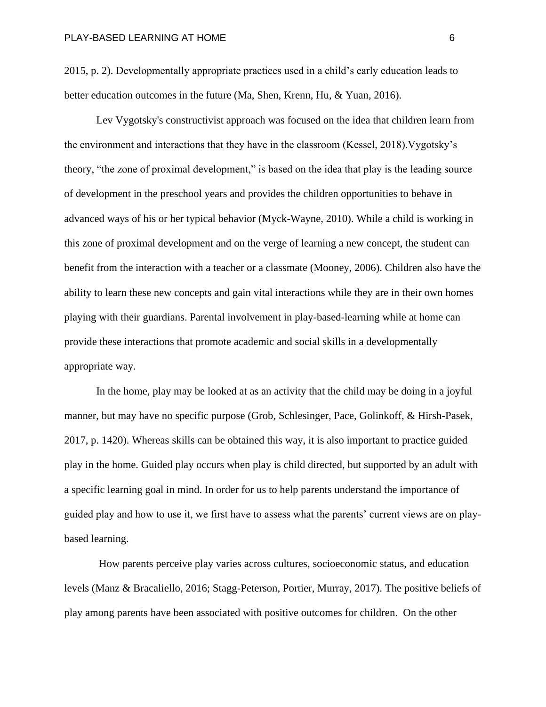2015, p. 2). Developmentally appropriate practices used in a child's early education leads to better education outcomes in the future (Ma, Shen, Krenn, Hu, & Yuan, 2016).

Lev Vygotsky's constructivist approach was focused on the idea that children learn from the environment and interactions that they have in the classroom (Kessel, 2018).Vygotsky's theory, "the zone of proximal development," is based on the idea that play is the leading source of development in the preschool years and provides the children opportunities to behave in advanced ways of his or her typical behavior (Myck-Wayne, 2010). While a child is working in this zone of proximal development and on the verge of learning a new concept, the student can benefit from the interaction with a teacher or a classmate (Mooney, 2006). Children also have the ability to learn these new concepts and gain vital interactions while they are in their own homes playing with their guardians. Parental involvement in play-based-learning while at home can provide these interactions that promote academic and social skills in a developmentally appropriate way.

In the home, play may be looked at as an activity that the child may be doing in a joyful manner, but may have no specific purpose (Grob, Schlesinger, Pace, Golinkoff, & Hirsh-Pasek, 2017, p. 1420). Whereas skills can be obtained this way, it is also important to practice guided play in the home. Guided play occurs when play is child directed, but supported by an adult with a specific learning goal in mind. In order for us to help parents understand the importance of guided play and how to use it, we first have to assess what the parents' current views are on playbased learning.

How parents perceive play varies across cultures, socioeconomic status, and education levels (Manz & Bracaliello, 2016; Stagg-Peterson, Portier, Murray, 2017). The positive beliefs of play among parents have been associated with positive outcomes for children. On the other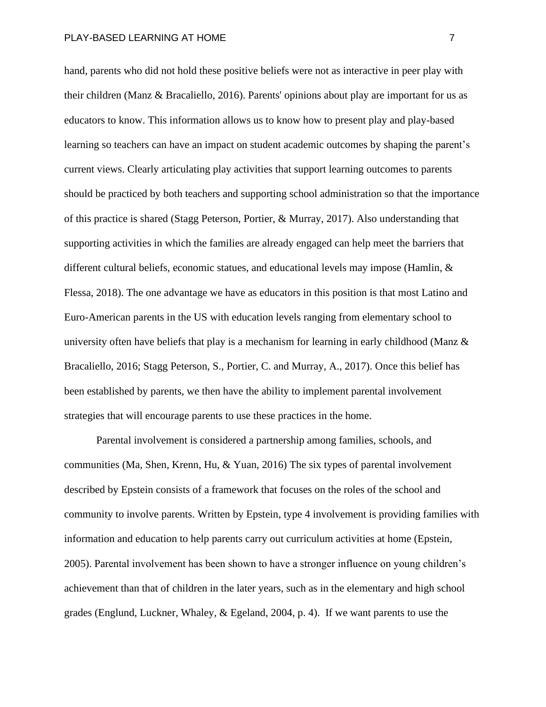hand, parents who did not hold these positive beliefs were not as interactive in peer play with their children (Manz & Bracaliello, 2016). Parents' opinions about play are important for us as educators to know. This information allows us to know how to present play and play-based learning so teachers can have an impact on student academic outcomes by shaping the parent's current views. Clearly articulating play activities that support learning outcomes to parents should be practiced by both teachers and supporting school administration so that the importance of this practice is shared (Stagg Peterson, Portier, & Murray, 2017). Also understanding that supporting activities in which the families are already engaged can help meet the barriers that different cultural beliefs, economic statues, and educational levels may impose (Hamlin, & Flessa, 2018). The one advantage we have as educators in this position is that most Latino and Euro-American parents in the US with education levels ranging from elementary school to university often have beliefs that play is a mechanism for learning in early childhood (Manz  $\&$ Bracaliello, 2016; Stagg Peterson, S., Portier, C. and Murray, A., 2017). Once this belief has been established by parents, we then have the ability to implement parental involvement strategies that will encourage parents to use these practices in the home.

Parental involvement is considered a partnership among families, schools, and communities (Ma, Shen, Krenn, Hu, & Yuan, 2016) The six types of parental involvement described by Epstein consists of a framework that focuses on the roles of the school and community to involve parents. Written by Epstein, type 4 involvement is providing families with information and education to help parents carry out curriculum activities at home (Epstein, 2005). Parental involvement has been shown to have a stronger influence on young children's achievement than that of children in the later years, such as in the elementary and high school grades (Englund, Luckner, Whaley, & Egeland, 2004, p. 4). If we want parents to use the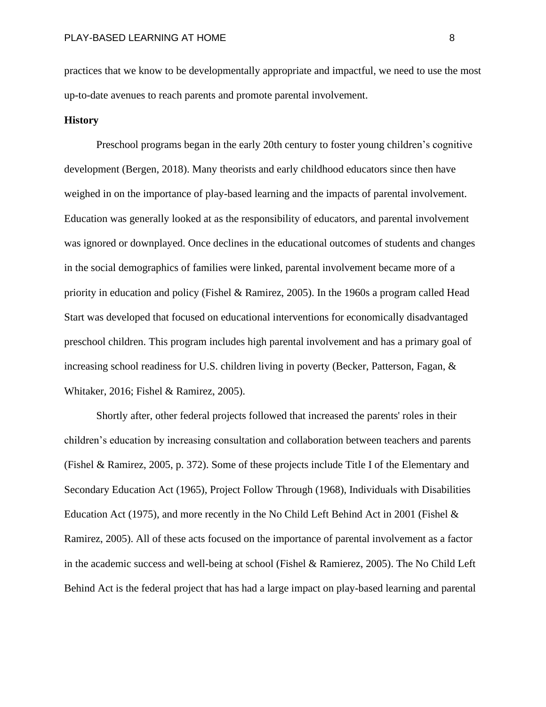practices that we know to be developmentally appropriate and impactful, we need to use the most up-to-date avenues to reach parents and promote parental involvement.

#### **History**

Preschool programs began in the early 20th century to foster young children's cognitive development (Bergen, 2018). Many theorists and early childhood educators since then have weighed in on the importance of play-based learning and the impacts of parental involvement. Education was generally looked at as the responsibility of educators, and parental involvement was ignored or downplayed. Once declines in the educational outcomes of students and changes in the social demographics of families were linked, parental involvement became more of a priority in education and policy (Fishel & Ramirez, 2005). In the 1960s a program called Head Start was developed that focused on educational interventions for economically disadvantaged preschool children. This program includes high parental involvement and has a primary goal of increasing school readiness for U.S. children living in poverty (Becker, Patterson, Fagan, & Whitaker, 2016; Fishel & Ramirez, 2005).

Shortly after, other federal projects followed that increased the parents' roles in their children's education by increasing consultation and collaboration between teachers and parents (Fishel & Ramirez, 2005, p. 372). Some of these projects include Title I of the Elementary and Secondary Education Act (1965), Project Follow Through (1968), Individuals with Disabilities Education Act (1975), and more recently in the No Child Left Behind Act in 2001 (Fishel & Ramirez, 2005). All of these acts focused on the importance of parental involvement as a factor in the academic success and well-being at school (Fishel & Ramierez, 2005). The No Child Left Behind Act is the federal project that has had a large impact on play-based learning and parental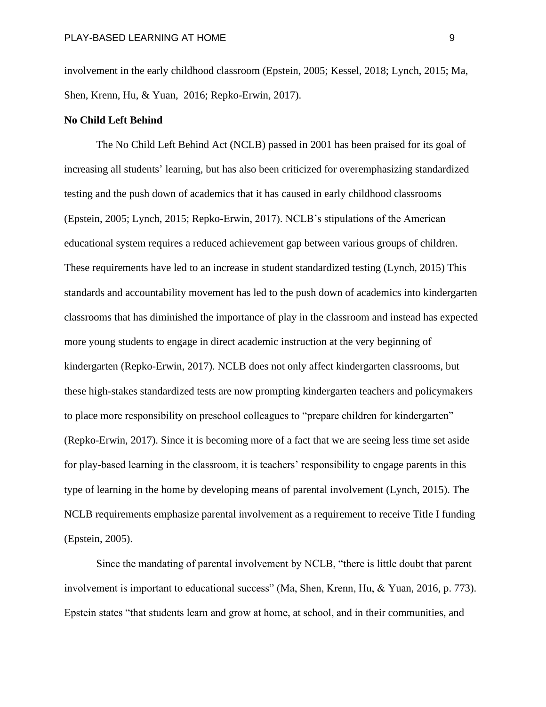involvement in the early childhood classroom (Epstein, 2005; Kessel, 2018; Lynch, 2015; Ma, Shen, Krenn, Hu, & Yuan, 2016; Repko-Erwin, 2017).

#### **No Child Left Behind**

The No Child Left Behind Act (NCLB) passed in 2001 has been praised for its goal of increasing all students' learning, but has also been criticized for overemphasizing standardized testing and the push down of academics that it has caused in early childhood classrooms (Epstein, 2005; Lynch, 2015; Repko-Erwin, 2017). NCLB's stipulations of the American educational system requires a reduced achievement gap between various groups of children. These requirements have led to an increase in student standardized testing (Lynch, 2015) This standards and accountability movement has led to the push down of academics into kindergarten classrooms that has diminished the importance of play in the classroom and instead has expected more young students to engage in direct academic instruction at the very beginning of kindergarten (Repko-Erwin, 2017). NCLB does not only affect kindergarten classrooms, but these high-stakes standardized tests are now prompting kindergarten teachers and policymakers to place more responsibility on preschool colleagues to "prepare children for kindergarten" (Repko-Erwin, 2017). Since it is becoming more of a fact that we are seeing less time set aside for play-based learning in the classroom, it is teachers' responsibility to engage parents in this type of learning in the home by developing means of parental involvement (Lynch, 2015). The NCLB requirements emphasize parental involvement as a requirement to receive Title I funding (Epstein, 2005).

Since the mandating of parental involvement by NCLB, "there is little doubt that parent involvement is important to educational success" (Ma, Shen, Krenn, Hu, & Yuan, 2016, p. 773). Epstein states "that students learn and grow at home, at school, and in their communities, and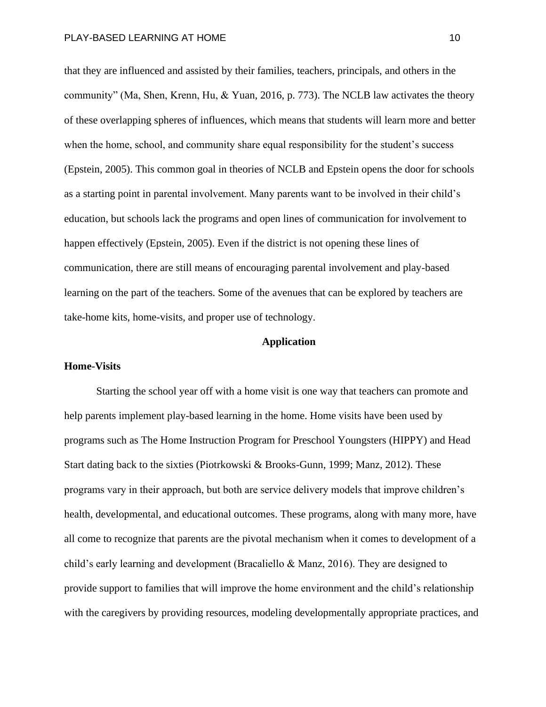that they are influenced and assisted by their families, teachers, principals, and others in the community" (Ma, Shen, Krenn, Hu, & Yuan, 2016, p. 773). The NCLB law activates the theory of these overlapping spheres of influences, which means that students will learn more and better when the home, school, and community share equal responsibility for the student's success (Epstein, 2005). This common goal in theories of NCLB and Epstein opens the door for schools as a starting point in parental involvement. Many parents want to be involved in their child's education, but schools lack the programs and open lines of communication for involvement to happen effectively (Epstein, 2005). Even if the district is not opening these lines of communication, there are still means of encouraging parental involvement and play-based learning on the part of the teachers. Some of the avenues that can be explored by teachers are take-home kits, home-visits, and proper use of technology.

#### **Application**

#### **Home-Visits**

Starting the school year off with a home visit is one way that teachers can promote and help parents implement play-based learning in the home. Home visits have been used by programs such as The Home Instruction Program for Preschool Youngsters (HIPPY) and Head Start dating back to the sixties (Piotrkowski & Brooks-Gunn, 1999; Manz, 2012). These programs vary in their approach, but both are service delivery models that improve children's health, developmental, and educational outcomes. These programs, along with many more, have all come to recognize that parents are the pivotal mechanism when it comes to development of a child's early learning and development (Bracaliello & Manz, 2016). They are designed to provide support to families that will improve the home environment and the child's relationship with the caregivers by providing resources, modeling developmentally appropriate practices, and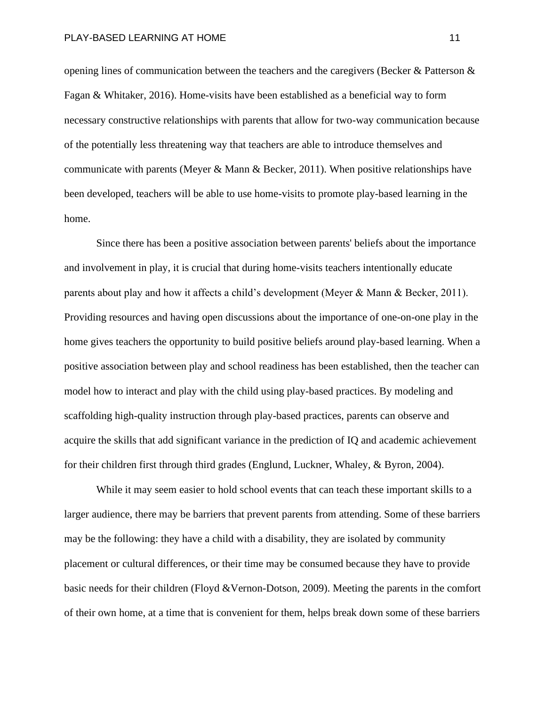opening lines of communication between the teachers and the caregivers (Becker & Patterson & Fagan & Whitaker, 2016). Home-visits have been established as a beneficial way to form necessary constructive relationships with parents that allow for two-way communication because of the potentially less threatening way that teachers are able to introduce themselves and communicate with parents (Meyer & Mann & Becker, 2011). When positive relationships have been developed, teachers will be able to use home-visits to promote play-based learning in the home.

Since there has been a positive association between parents' beliefs about the importance and involvement in play, it is crucial that during home-visits teachers intentionally educate parents about play and how it affects a child's development (Meyer & Mann & Becker, 2011). Providing resources and having open discussions about the importance of one-on-one play in the home gives teachers the opportunity to build positive beliefs around play-based learning. When a positive association between play and school readiness has been established, then the teacher can model how to interact and play with the child using play-based practices. By modeling and scaffolding high-quality instruction through play-based practices, parents can observe and acquire the skills that add significant variance in the prediction of IQ and academic achievement for their children first through third grades (Englund, Luckner, Whaley, & Byron, 2004).

While it may seem easier to hold school events that can teach these important skills to a larger audience, there may be barriers that prevent parents from attending. Some of these barriers may be the following: they have a child with a disability, they are isolated by community placement or cultural differences, or their time may be consumed because they have to provide basic needs for their children (Floyd &Vernon-Dotson, 2009). Meeting the parents in the comfort of their own home, at a time that is convenient for them, helps break down some of these barriers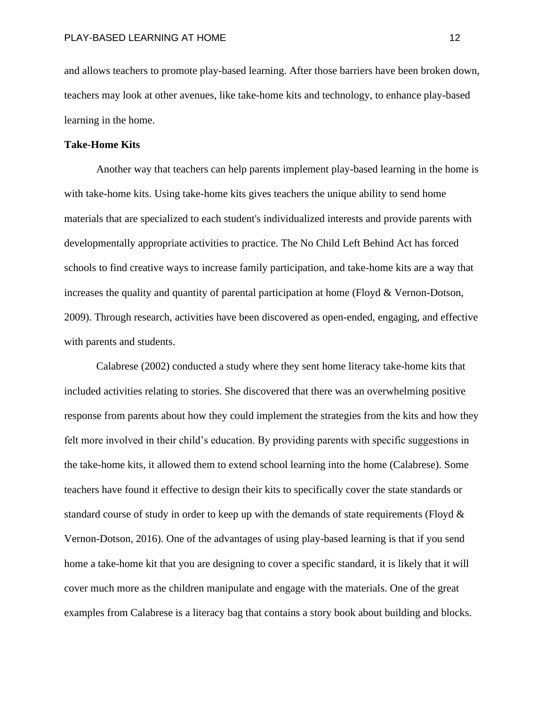and allows teachers to promote play-based learning. After those barriers have been broken down, teachers may look at other avenues, like take-home kits and technology, to enhance play-based learning in the home.

#### **Take-Home Kits**

Another way that teachers can help parents implement play-based learning in the home is with take-home kits. Using take-home kits gives teachers the unique ability to send home materials that are specialized to each student's individualized interests and provide parents with developmentally appropriate activities to practice. The No Child Left Behind Act has forced schools to find creative ways to increase family participation, and take-home kits are a way that increases the quality and quantity of parental participation at home (Floyd & Vernon-Dotson, 2009). Through research, activities have been discovered as open-ended, engaging, and effective with parents and students.

Calabrese (2002) conducted a study where they sent home literacy take-home kits that included activities relating to stories. She discovered that there was an overwhelming positive response from parents about how they could implement the strategies from the kits and how they felt more involved in their child's education. By providing parents with specific suggestions in the take-home kits, it allowed them to extend school learning into the home (Calabrese). Some teachers have found it effective to design their kits to specifically cover the state standards or standard course of study in order to keep up with the demands of state requirements (Floyd  $\&$ Vernon-Dotson, 2016). One of the advantages of using play-based learning is that if you send home a take-home kit that you are designing to cover a specific standard, it is likely that it will cover much more as the children manipulate and engage with the materials. One of the great examples from Calabrese is a literacy bag that contains a story book about building and blocks.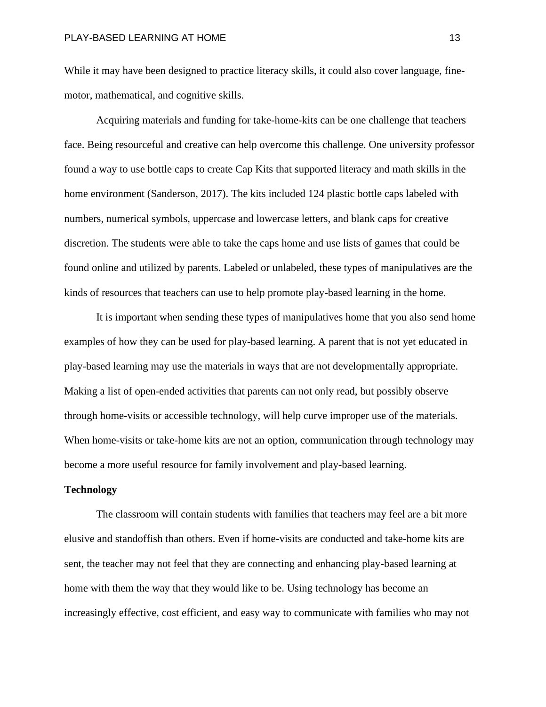While it may have been designed to practice literacy skills, it could also cover language, finemotor, mathematical, and cognitive skills.

Acquiring materials and funding for take-home-kits can be one challenge that teachers face. Being resourceful and creative can help overcome this challenge. One university professor found a way to use bottle caps to create Cap Kits that supported literacy and math skills in the home environment (Sanderson, 2017). The kits included 124 plastic bottle caps labeled with numbers, numerical symbols, uppercase and lowercase letters, and blank caps for creative discretion. The students were able to take the caps home and use lists of games that could be found online and utilized by parents. Labeled or unlabeled, these types of manipulatives are the kinds of resources that teachers can use to help promote play-based learning in the home.

It is important when sending these types of manipulatives home that you also send home examples of how they can be used for play-based learning. A parent that is not yet educated in play-based learning may use the materials in ways that are not developmentally appropriate. Making a list of open-ended activities that parents can not only read, but possibly observe through home-visits or accessible technology, will help curve improper use of the materials. When home-visits or take-home kits are not an option, communication through technology may become a more useful resource for family involvement and play-based learning.

#### **Technology**

The classroom will contain students with families that teachers may feel are a bit more elusive and standoffish than others. Even if home-visits are conducted and take-home kits are sent, the teacher may not feel that they are connecting and enhancing play-based learning at home with them the way that they would like to be. Using technology has become an increasingly effective, cost efficient, and easy way to communicate with families who may not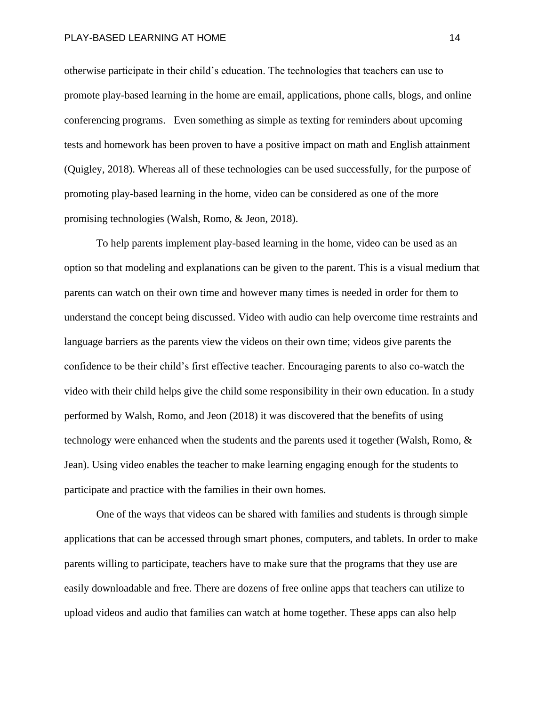#### PLAY-BASED LEARNING AT HOME 14 and 20 years of the 14 million of the 14 million of the 14 million of the 14 million of the 14

otherwise participate in their child's education. The technologies that teachers can use to promote play-based learning in the home are email, applications, phone calls, blogs, and online conferencing programs. Even something as simple as texting for reminders about upcoming tests and homework has been proven to have a positive impact on math and English attainment (Quigley, 2018). Whereas all of these technologies can be used successfully, for the purpose of promoting play-based learning in the home, video can be considered as one of the more promising technologies (Walsh, Romo, & Jeon, 2018).

To help parents implement play-based learning in the home, video can be used as an option so that modeling and explanations can be given to the parent. This is a visual medium that parents can watch on their own time and however many times is needed in order for them to understand the concept being discussed. Video with audio can help overcome time restraints and language barriers as the parents view the videos on their own time; videos give parents the confidence to be their child's first effective teacher. Encouraging parents to also co-watch the video with their child helps give the child some responsibility in their own education. In a study performed by Walsh, Romo, and Jeon (2018) it was discovered that the benefits of using technology were enhanced when the students and the parents used it together (Walsh, Romo, & Jean). Using video enables the teacher to make learning engaging enough for the students to participate and practice with the families in their own homes.

One of the ways that videos can be shared with families and students is through simple applications that can be accessed through smart phones, computers, and tablets. In order to make parents willing to participate, teachers have to make sure that the programs that they use are easily downloadable and free. There are dozens of free online apps that teachers can utilize to upload videos and audio that families can watch at home together. These apps can also help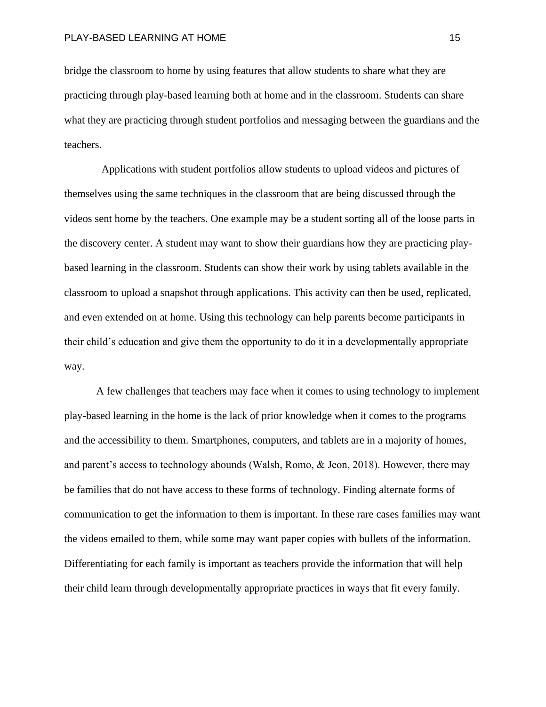bridge the classroom to home by using features that allow students to share what they are practicing through play-based learning both at home and in the classroom. Students can share what they are practicing through student portfolios and messaging between the guardians and the teachers.

 Applications with student portfolios allow students to upload videos and pictures of themselves using the same techniques in the classroom that are being discussed through the videos sent home by the teachers. One example may be a student sorting all of the loose parts in the discovery center. A student may want to show their guardians how they are practicing playbased learning in the classroom. Students can show their work by using tablets available in the classroom to upload a snapshot through applications. This activity can then be used, replicated, and even extended on at home. Using this technology can help parents become participants in their child's education and give them the opportunity to do it in a developmentally appropriate way.

A few challenges that teachers may face when it comes to using technology to implement play-based learning in the home is the lack of prior knowledge when it comes to the programs and the accessibility to them. Smartphones, computers, and tablets are in a majority of homes, and parent's access to technology abounds (Walsh, Romo, & Jeon, 2018). However, there may be families that do not have access to these forms of technology. Finding alternate forms of communication to get the information to them is important. In these rare cases families may want the videos emailed to them, while some may want paper copies with bullets of the information. Differentiating for each family is important as teachers provide the information that will help their child learn through developmentally appropriate practices in ways that fit every family.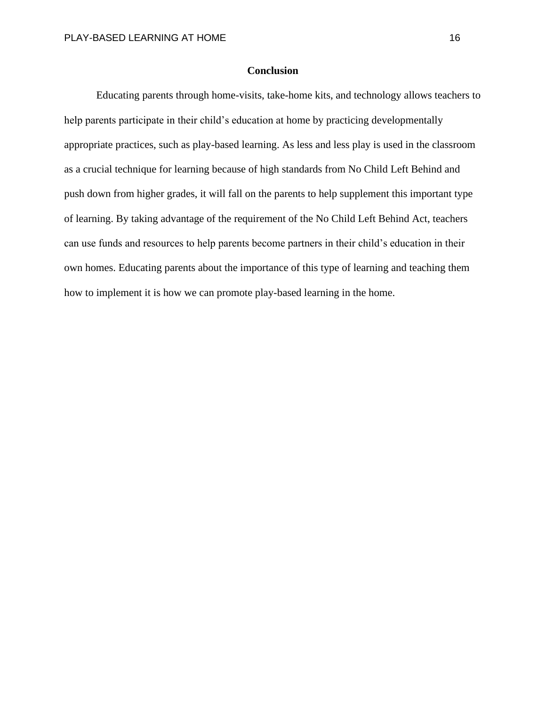### **Conclusion**

Educating parents through home-visits, take-home kits, and technology allows teachers to help parents participate in their child's education at home by practicing developmentally appropriate practices, such as play-based learning. As less and less play is used in the classroom as a crucial technique for learning because of high standards from No Child Left Behind and push down from higher grades, it will fall on the parents to help supplement this important type of learning. By taking advantage of the requirement of the No Child Left Behind Act, teachers can use funds and resources to help parents become partners in their child's education in their own homes. Educating parents about the importance of this type of learning and teaching them how to implement it is how we can promote play-based learning in the home.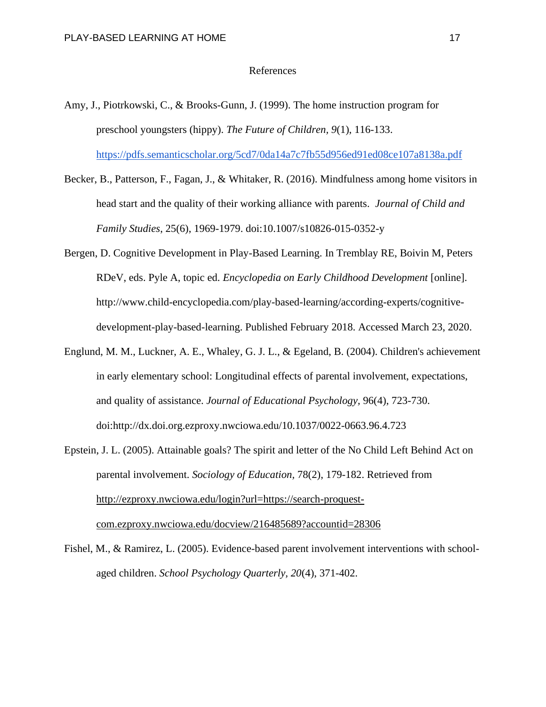#### References

- Amy, J., Piotrkowski, C., & Brooks-Gunn, J. (1999). The home instruction program for preschool youngsters (hippy). *The Future of Children, 9*(1), 116-133. <https://pdfs.semanticscholar.org/5cd7/0da14a7c7fb55d956ed91ed08ce107a8138a.pdf>
- Becker, B., Patterson, F., Fagan, J., & Whitaker, R. (2016). Mindfulness among home visitors in head start and the quality of their working alliance with parents. *Journal of Child and Family Studies*, 25(6), 1969-1979. doi:10.1007/s10826-015-0352-y
- Bergen, D. Cognitive Development in Play-Based Learning. In Tremblay RE, Boivin M, Peters RDeV, eds. Pyle A, topic ed. *Encyclopedia on Early Childhood Development* [online]. [http://www.child-encyclopedia.com/play-based-learning/according-experts/cognitive](http://www.child-encyclopedia.com/play-based-learning/according-experts/cognitive-development-play-based-learning)[development-play-based-learning.](http://www.child-encyclopedia.com/play-based-learning/according-experts/cognitive-development-play-based-learning) Published February 2018. Accessed March 23, 2020.
- Englund, M. M., Luckner, A. E., Whaley, G. J. L., & Egeland, B. (2004). Children's achievement in early elementary school: Longitudinal effects of parental involvement, expectations, and quality of assistance. *Journal of Educational Psychology,* 96(4), 723-730. doi:http://dx.doi.org.ezproxy.nwciowa.edu/10.1037/0022-0663.96.4.723
- Epstein, J. L. (2005). Attainable goals? The spirit and letter of the No Child Left Behind Act on parental involvement. *Sociology of Education,* 78(2), 179-182. Retrieved from [http://ezproxy.nwciowa.edu/login?url=https://search-proquest](http://ezproxy.nwciowa.edu/login?url=https://search-proquest-com.ezproxy.nwciowa.edu/docview/216485689?accountid=28306)[com.ezproxy.nwciowa.edu/docview/216485689?accountid=28306](http://ezproxy.nwciowa.edu/login?url=https://search-proquest-com.ezproxy.nwciowa.edu/docview/216485689?accountid=28306)
- Fishel, M., & Ramirez, L. (2005). Evidence-based parent involvement interventions with schoolaged children. *School Psychology Quarterly, 20*(4), 371-402.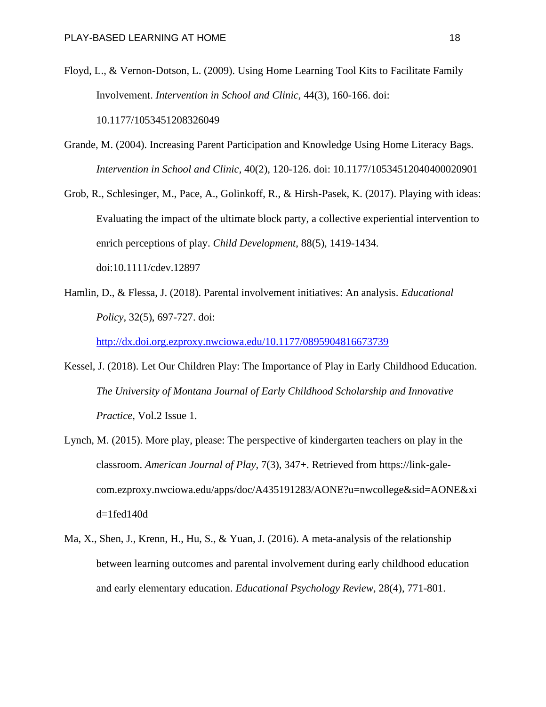- Floyd, L., & Vernon-Dotson, L. (2009). Using Home Learning Tool Kits to Facilitate Family Involvement. *Intervention in School and Clinic,* 44(3), 160-166. doi: 10.1177/1053451208326049
- Grande, M. (2004). Increasing Parent Participation and Knowledge Using Home Literacy Bags. *Intervention in School and Clinic,* 40(2), 120-126. doi: 10.1177/10534512040400020901
- Grob, R., Schlesinger, M., Pace, A., Golinkoff, R., & Hirsh-Pasek, K. (2017). Playing with ideas: Evaluating the impact of the ultimate block party, a collective experiential intervention to enrich perceptions of play. *Child Development,* 88(5), 1419-1434. doi:10.1111/cdev.12897
- Hamlin, D., & Flessa, J. (2018). Parental involvement initiatives: An analysis. *Educational Policy,* 32(5), 697-727. doi:

<http://dx.doi.org.ezproxy.nwciowa.edu/10.1177/0895904816673739>

- Kessel, J. (2018). Let Our Children Play: The Importance of Play in Early Childhood Education. *The University of Montana Journal of Early Childhood Scholarship and Innovative Practice,* Vol.2 Issue 1.
- Lynch, M. (2015). More play, please: The perspective of kindergarten teachers on play in the classroom. *American Journal of Play,* 7(3), 347+. Retrieved from https://link-galecom.ezproxy.nwciowa.edu/apps/doc/A435191283/AONE?u=nwcollege&sid=AONE&xi d=1fed140d
- Ma, X., Shen, J., Krenn, H., Hu, S., & Yuan, J. (2016). A meta-analysis of the relationship between learning outcomes and parental involvement during early childhood education and early elementary education. *Educational Psychology Review,* 28(4), 771-801.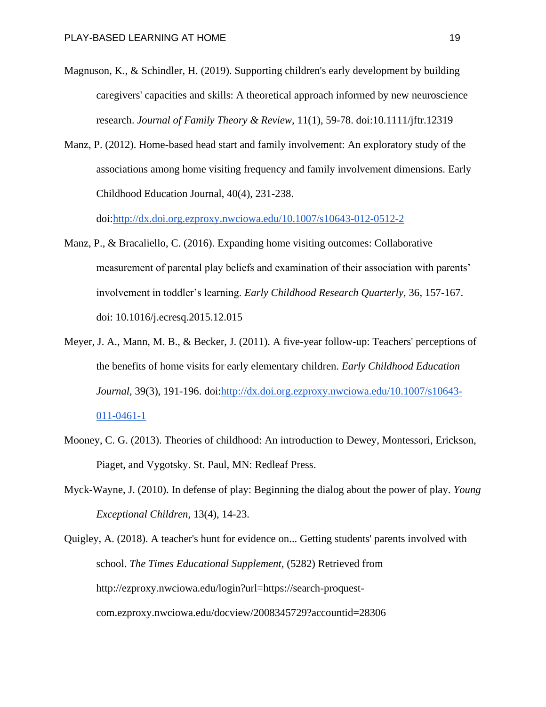- Magnuson, K., & Schindler, H. (2019). Supporting children's early development by building caregivers' capacities and skills: A theoretical approach informed by new neuroscience research. *Journal of Family Theory & Review,* 11(1), 59-78. doi:10.1111/jftr.12319
- Manz, P. (2012). Home-based head start and family involvement: An exploratory study of the associations among home visiting frequency and family involvement dimensions. Early Childhood Education Journal, 40(4), 231-238.

doi[:http://dx.doi.org.ezproxy.nwciowa.edu/10.1007/s10643-012-0512-2](http://dx.doi.org.ezproxy.nwciowa.edu/10.1007/s10643-012-0512-2)

- Manz, P., & Bracaliello, C. (2016). Expanding home visiting outcomes: Collaborative measurement of parental play beliefs and examination of their association with parents' involvement in toddler's learning. *Early Childhood Research Quarterly,* 36, 157-167. doi: 10.1016/j.ecresq.2015.12.015
- Meyer, J. A., Mann, M. B., & Becker, J. (2011). A five-year follow-up: Teachers' perceptions of the benefits of home visits for early elementary children. *Early Childhood Education Journal,* 39(3), 191-196. doi[:http://dx.doi.org.ezproxy.nwciowa.edu/10.1007/s10643-](http://dx.doi.org.ezproxy.nwciowa.edu/10.1007/s10643-011-0461-1) [011-0461-1](http://dx.doi.org.ezproxy.nwciowa.edu/10.1007/s10643-011-0461-1)
- Mooney, C. G. (2013). Theories of childhood: An introduction to Dewey, Montessori, Erickson, Piaget, and Vygotsky. St. Paul, MN: Redleaf Press.
- Myck-Wayne, J. (2010). In defense of play: Beginning the dialog about the power of play. *Young Exceptional Children,* 13(4), 14-23.

Quigley, A. (2018). A teacher's hunt for evidence on... Getting students' parents involved with school. *The Times Educational Supplement,* (5282) Retrieved from http://ezproxy.nwciowa.edu/login?url=https://search-proquestcom.ezproxy.nwciowa.edu/docview/2008345729?accountid=28306